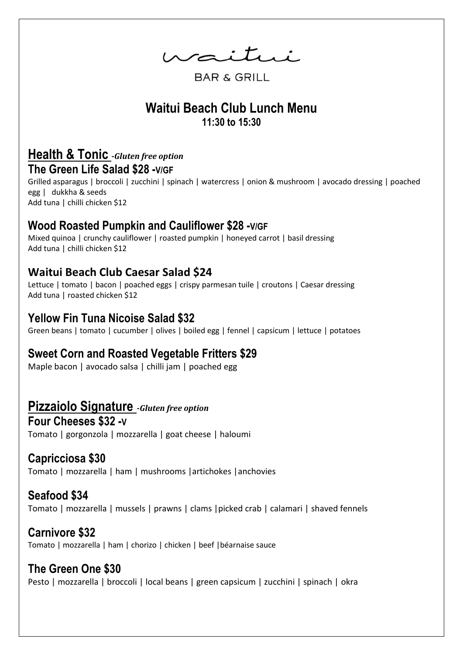waitui

**BAR & GRILL** 

# **Waitui Beach Club Lunch Menu 11:30 to 15:30**

#### **Health & Tonic -***Gluten free option*  **The Green Life Salad \$28 -V/GF**

Grilled asparagus | broccoli | zucchini | spinach | watercress | onion & mushroom | avocado dressing | poached egg | dukkha & seeds Add tuna | chilli chicken \$12

#### **Wood Roasted Pumpkin and Cauliflower \$28 -V/GF**

Mixed quinoa | crunchy cauliflower | roasted pumpkin | honeyed carrot | basil dressing Add tuna | chilli chicken \$12

#### **Waitui Beach Club Caesar Salad \$24**

Lettuce | tomato | bacon | poached eggs | crispy parmesan tuile | croutons | Caesar dressing Add tuna | roasted chicken \$12

#### **Yellow Fin Tuna Nicoise Salad \$32**

Green beans | tomato | cucumber | olives | boiled egg | fennel | capsicum | lettuce | potatoes

#### **Sweet Corn and Roasted Vegetable Fritters \$29**

Maple bacon | avocado salsa | chilli jam | poached egg

#### **Pizzaiolo Signature -***Gluten free option*

**Four Cheeses \$32 -V** Tomato | gorgonzola | mozzarella | goat cheese | haloumi

## **Capricciosa \$30**

Tomato | mozzarella | ham | mushrooms |artichokes |anchovies

## **Seafood \$34**

Tomato | mozzarella | mussels | prawns | clams |picked crab | calamari | shaved fennels

#### **Carnivore \$32**

Tomato | mozzarella | ham | chorizo | chicken | beef |béarnaise sauce

## **The Green One \$30**

Pesto | mozzarella | broccoli | local beans | green capsicum | zucchini | spinach | okra